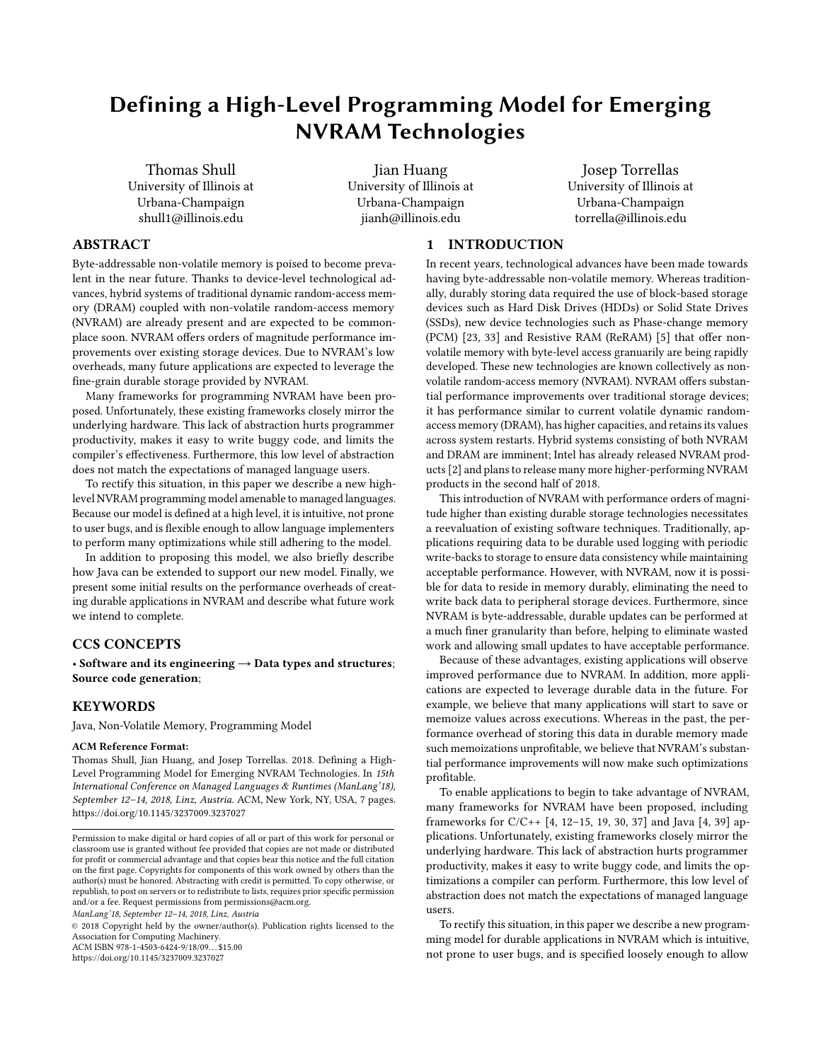# Defining a High-Level Programming Model for Emerging NVRAM Technologies

Thomas Shull University of Illinois at Urbana-Champaign shull1@illinois.edu

Jian Huang University of Illinois at Urbana-Champaign jianh@illinois.edu

1 INTRODUCTION

Josep Torrellas University of Illinois at Urbana-Champaign torrella@illinois.edu

# ABSTRACT

Byte-addressable non-volatile memory is poised to become prevalent in the near future. Thanks to device-level technological advances, hybrid systems of traditional dynamic random-access memory (DRAM) coupled with non-volatile random-access memory (NVRAM) are already present and are expected to be commonplace soon. NVRAM offers orders of magnitude performance improvements over existing storage devices. Due to NVRAM's low overheads, many future applications are expected to leverage the fine-grain durable storage provided by NVRAM.

Many frameworks for programming NVRAM have been proposed. Unfortunately, these existing frameworks closely mirror the underlying hardware. This lack of abstraction hurts programmer productivity, makes it easy to write buggy code, and limits the compiler's effectiveness. Furthermore, this low level of abstraction does not match the expectations of managed language users.

To rectify this situation, in this paper we describe a new highlevel NVRAM programming model amenable to managed languages. Because our model is defined at a high level, it is intuitive, not prone to user bugs, and is flexible enough to allow language implementers to perform many optimizations while still adhering to the model.

In addition to proposing this model, we also briefly describe how Java can be extended to support our new model. Finally, we present some initial results on the performance overheads of creating durable applications in NVRAM and describe what future work we intend to complete.

## CCS CONCEPTS

• Software and its engineering  $\rightarrow$  Data types and structures; Source code generation;

#### **KEYWORDS**

Java, Non-Volatile Memory, Programming Model

#### ACM Reference Format:

Thomas Shull, Jian Huang, and Josep Torrellas. 2018. Defining a High-Level Programming Model for Emerging NVRAM Technologies. In 15th International Conference on Managed Languages & Runtimes (ManLang'18), September 12–14, 2018, Linz, Austria. ACM, New York, NY, USA, [7](#page-6-0) pages. <https://doi.org/10.1145/3237009.3237027>

© 2018 Copyright held by the owner/author(s). Publication rights licensed to the Association for Computing Machinery.

ACM ISBN 978-1-4503-6424-9/18/09...\$15.00

<https://doi.org/10.1145/3237009.3237027>

In recent years, technological advances have been made towards having byte-addressable non-volatile memory. Whereas traditionally, durably storing data required the use of block-based storage devices such as Hard Disk Drives (HDDs) or Solid State Drives (SSDs), new device technologies such as Phase-change memory (PCM) [\[23,](#page-6-1) [33\]](#page-6-2) and Resistive RAM (ReRAM) [\[5\]](#page-5-0) that offer nonvolatile memory with byte-level access granuarily are being rapidly developed. These new technologies are known collectively as nonvolatile random-access memory (NVRAM). NVRAM offers substantial performance improvements over traditional storage devices; it has performance similar to current volatile dynamic randomaccess memory (DRAM), has higher capacities, and retains its values across system restarts. Hybrid systems consisting of both NVRAM and DRAM are imminent; Intel has already released NVRAM products [\[2\]](#page-5-1) and plans to release many more higher-performing NVRAM products in the second half of 2018.

This introduction of NVRAM with performance orders of magnitude higher than existing durable storage technologies necessitates a reevaluation of existing software techniques. Traditionally, applications requiring data to be durable used logging with periodic write-backs to storage to ensure data consistency while maintaining acceptable performance. However, with NVRAM, now it is possible for data to reside in memory durably, eliminating the need to write back data to peripheral storage devices. Furthermore, since NVRAM is byte-addressable, durable updates can be performed at a much finer granularity than before, helping to eliminate wasted work and allowing small updates to have acceptable performance.

Because of these advantages, existing applications will observe improved performance due to NVRAM. In addition, more applications are expected to leverage durable data in the future. For example, we believe that many applications will start to save or memoize values across executions. Whereas in the past, the performance overhead of storing this data in durable memory made such memoizations unprofitable, we believe that NVRAM's substantial performance improvements will now make such optimizations profitable.

To enable applications to begin to take advantage of NVRAM, many frameworks for NVRAM have been proposed, including frameworks for C/C++ [\[4,](#page-5-2) [12](#page-5-3)[–15,](#page-6-3) [19,](#page-6-4) [30,](#page-6-5) [37\]](#page-6-6) and Java [\[4,](#page-5-2) [39\]](#page-6-7) applications. Unfortunately, existing frameworks closely mirror the underlying hardware. This lack of abstraction hurts programmer productivity, makes it easy to write buggy code, and limits the optimizations a compiler can perform. Furthermore, this low level of abstraction does not match the expectations of managed language users.

To rectify this situation, in this paper we describe a new programming model for durable applications in NVRAM which is intuitive, not prone to user bugs, and is specified loosely enough to allow

Permission to make digital or hard copies of all or part of this work for personal or classroom use is granted without fee provided that copies are not made or distributed for profit or commercial advantage and that copies bear this notice and the full citation on the first page. Copyrights for components of this work owned by others than the author(s) must be honored. Abstracting with credit is permitted. To copy otherwise, or republish, to post on servers or to redistribute to lists, requires prior specific permission and/or a fee. Request permissions from permissions@acm.org.

ManLang'18, September 12–14, 2018, Linz, Austria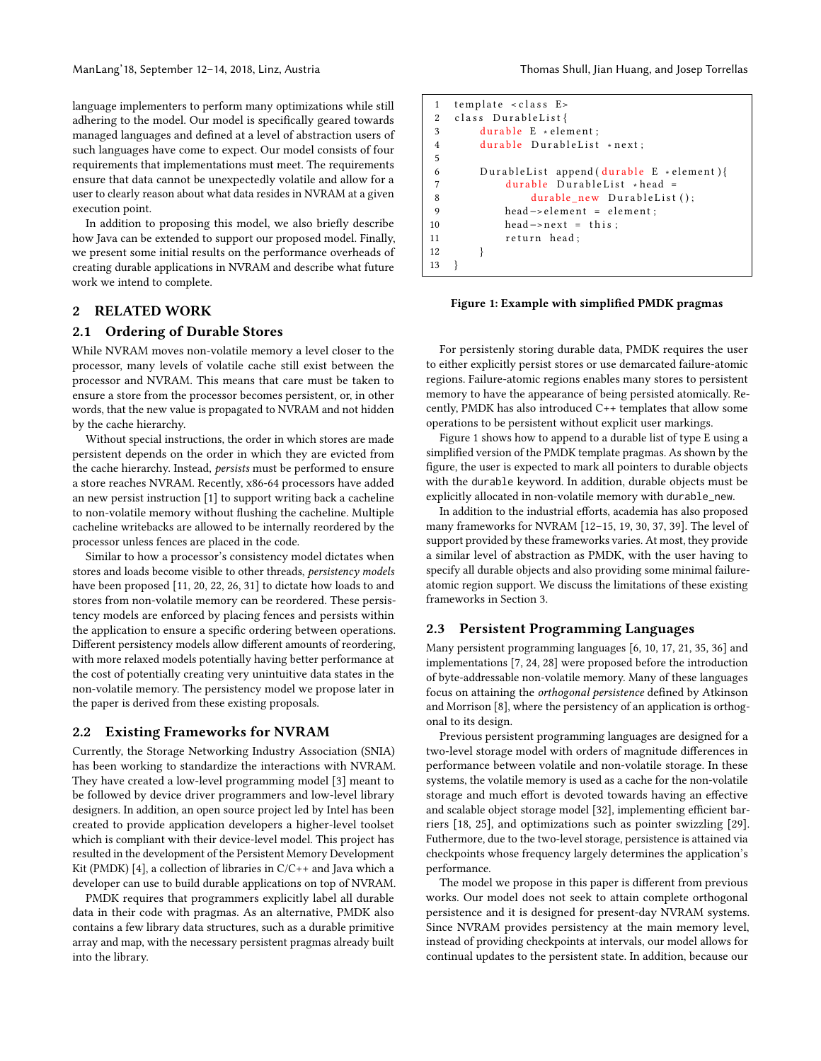language implementers to perform many optimizations while still adhering to the model. Our model is specifically geared towards managed languages and defined at a level of abstraction users of such languages have come to expect. Our model consists of four requirements that implementations must meet. The requirements ensure that data cannot be unexpectedly volatile and allow for a user to clearly reason about what data resides in NVRAM at a given execution point.

In addition to proposing this model, we also briefly describe how Java can be extended to support our proposed model. Finally, we present some initial results on the performance overheads of creating durable applications in NVRAM and describe what future work we intend to complete.

## 2 RELATED WORK

## <span id="page-1-1"></span>2.1 Ordering of Durable Stores

While NVRAM moves non-volatile memory a level closer to the processor, many levels of volatile cache still exist between the processor and NVRAM. This means that care must be taken to ensure a store from the processor becomes persistent, or, in other words, that the new value is propagated to NVRAM and not hidden by the cache hierarchy.

Without special instructions, the order in which stores are made persistent depends on the order in which they are evicted from the cache hierarchy. Instead, persists must be performed to ensure a store reaches NVRAM. Recently, x86-64 processors have added an new persist instruction [\[1\]](#page-5-4) to support writing back a cacheline to non-volatile memory without flushing the cacheline. Multiple cacheline writebacks are allowed to be internally reordered by the processor unless fences are placed in the code.

Similar to how a processor's consistency model dictates when stores and loads become visible to other threads, persistency models have been proposed [\[11,](#page-5-5) [20,](#page-6-8) [22,](#page-6-9) [26,](#page-6-10) [31\]](#page-6-11) to dictate how loads to and stores from non-volatile memory can be reordered. These persistency models are enforced by placing fences and persists within the application to ensure a specific ordering between operations. Different persistency models allow different amounts of reordering, with more relaxed models potentially having better performance at the cost of potentially creating very unintuitive data states in the non-volatile memory. The persistency model we propose later in the paper is derived from these existing proposals.

#### 2.2 Existing Frameworks for NVRAM

Currently, the Storage Networking Industry Association (SNIA) has been working to standardize the interactions with NVRAM. They have created a low-level programming model [\[3\]](#page-5-6) meant to be followed by device driver programmers and low-level library designers. In addition, an open source project led by Intel has been created to provide application developers a higher-level toolset which is compliant with their device-level model. This project has resulted in the development of the Persistent Memory Development Kit (PMDK) [\[4\]](#page-5-2), a collection of libraries in C/C++ and Java which a developer can use to build durable applications on top of NVRAM.

PMDK requires that programmers explicitly label all durable data in their code with pragmas. As an alternative, PMDK also contains a few library data structures, such as a durable primitive array and map, with the necessary persistent pragmas already built into the library.

```
1 template < class E>
2 class DurableList{
3 durable E * element;
4 durable DurableList ∗next;
5
6 DurableList append (durable E * element) {
7 durable DurableList ∗head =
8 durable_new DurableList();
9 head -> element = element;
10 head -> next = this;
11 return head;
12 }
13 }
```
#### Figure 1: Example with simplified PMDK pragmas

For persistenly storing durable data, PMDK requires the user to either explicitly persist stores or use demarcated failure-atomic regions. Failure-atomic regions enables many stores to persistent memory to have the appearance of being persisted atomically. Recently, PMDK has also introduced C++ templates that allow some operations to be persistent without explicit user markings.

Figure [1](#page-1-0) shows how to append to a durable list of type E using a simplified version of the PMDK template pragmas. As shown by the figure, the user is expected to mark all pointers to durable objects with the durable keyword. In addition, durable objects must be explicitly allocated in non-volatile memory with durable\_new.

In addition to the industrial efforts, academia has also proposed many frameworks for NVRAM [\[12](#page-5-3)[–15,](#page-6-3) [19,](#page-6-4) [30,](#page-6-5) [37,](#page-6-6) [39\]](#page-6-7). The level of support provided by these frameworks varies. At most, they provide a similar level of abstraction as PMDK, with the user having to specify all durable objects and also providing some minimal failureatomic region support. We discuss the limitations of these existing frameworks in Section [3.](#page-2-0)

## 2.3 Persistent Programming Languages

Many persistent programming languages [\[6,](#page-5-7) [10,](#page-5-8) [17,](#page-6-12) [21,](#page-6-13) [35,](#page-6-14) [36\]](#page-6-15) and implementations [\[7,](#page-5-9) [24,](#page-6-16) [28\]](#page-6-17) were proposed before the introduction of byte-addressable non-volatile memory. Many of these languages focus on attaining the orthogonal persistence defined by Atkinson and Morrison [\[8\]](#page-5-10), where the persistency of an application is orthogonal to its design.

Previous persistent programming languages are designed for a two-level storage model with orders of magnitude differences in performance between volatile and non-volatile storage. In these systems, the volatile memory is used as a cache for the non-volatile storage and much effort is devoted towards having an effective and scalable object storage model [\[32\]](#page-6-18), implementing efficient barriers [\[18,](#page-6-19) [25\]](#page-6-20), and optimizations such as pointer swizzling [\[29\]](#page-6-21). Futhermore, due to the two-level storage, persistence is attained via checkpoints whose frequency largely determines the application's performance.

The model we propose in this paper is different from previous works. Our model does not seek to attain complete orthogonal persistence and it is designed for present-day NVRAM systems. Since NVRAM provides persistency at the main memory level, instead of providing checkpoints at intervals, our model allows for continual updates to the persistent state. In addition, because our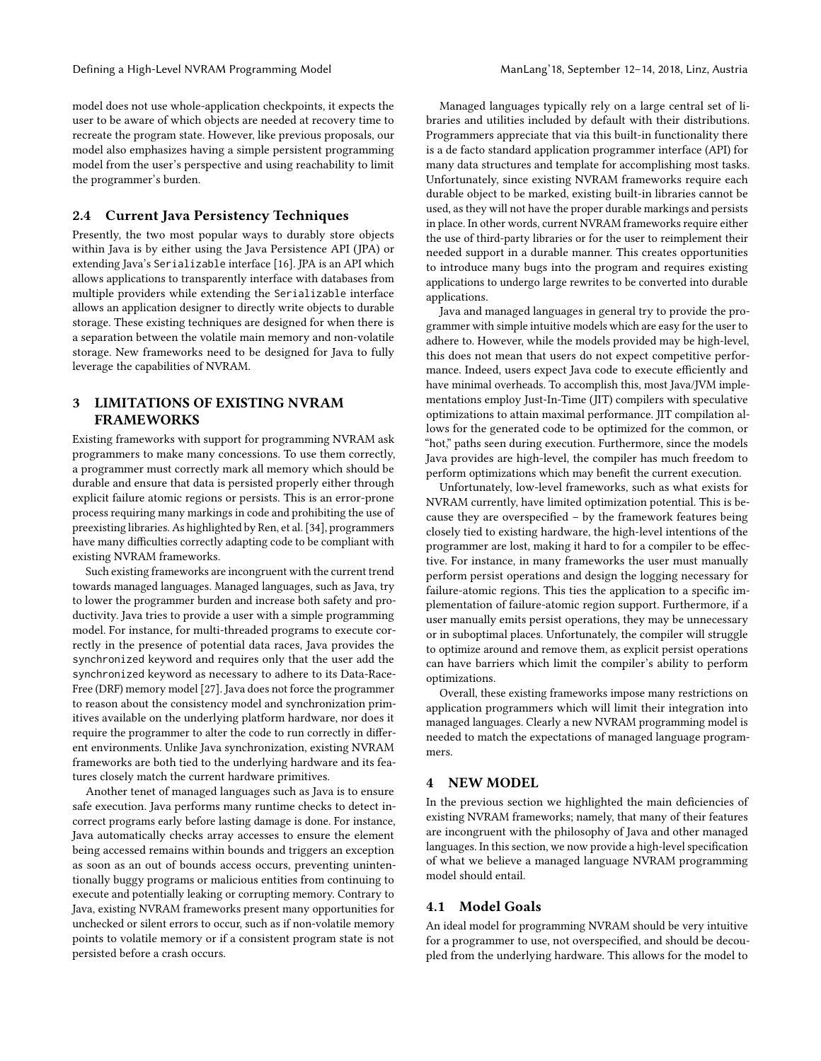model does not use whole-application checkpoints, it expects the user to be aware of which objects are needed at recovery time to recreate the program state. However, like previous proposals, our model also emphasizes having a simple persistent programming model from the user's perspective and using reachability to limit the programmer's burden.

## 2.4 Current Java Persistency Techniques

Presently, the two most popular ways to durably store objects within Java is by either using the Java Persistence API (JPA) or extending Java's Serializable interface [\[16\]](#page-6-22). JPA is an API which allows applications to transparently interface with databases from multiple providers while extending the Serializable interface allows an application designer to directly write objects to durable storage. These existing techniques are designed for when there is a separation between the volatile main memory and non-volatile storage. New frameworks need to be designed for Java to fully leverage the capabilities of NVRAM.

# <span id="page-2-0"></span>3 LIMITATIONS OF EXISTING NVRAM FRAMEWORKS

Existing frameworks with support for programming NVRAM ask programmers to make many concessions. To use them correctly, a programmer must correctly mark all memory which should be durable and ensure that data is persisted properly either through explicit failure atomic regions or persists. This is an error-prone process requiring many markings in code and prohibiting the use of preexisting libraries. As highlighted by Ren, et al. [\[34\]](#page-6-23), programmers have many difficulties correctly adapting code to be compliant with existing NVRAM frameworks.

Such existing frameworks are incongruent with the current trend towards managed languages. Managed languages, such as Java, try to lower the programmer burden and increase both safety and productivity. Java tries to provide a user with a simple programming model. For instance, for multi-threaded programs to execute correctly in the presence of potential data races, Java provides the synchronized keyword and requires only that the user add the synchronized keyword as necessary to adhere to its Data-Race-Free (DRF) memory model [\[27\]](#page-6-24). Java does not force the programmer to reason about the consistency model and synchronization primitives available on the underlying platform hardware, nor does it require the programmer to alter the code to run correctly in different environments. Unlike Java synchronization, existing NVRAM frameworks are both tied to the underlying hardware and its features closely match the current hardware primitives.

Another tenet of managed languages such as Java is to ensure safe execution. Java performs many runtime checks to detect incorrect programs early before lasting damage is done. For instance, Java automatically checks array accesses to ensure the element being accessed remains within bounds and triggers an exception as soon as an out of bounds access occurs, preventing unintentionally buggy programs or malicious entities from continuing to execute and potentially leaking or corrupting memory. Contrary to Java, existing NVRAM frameworks present many opportunities for unchecked or silent errors to occur, such as if non-volatile memory points to volatile memory or if a consistent program state is not persisted before a crash occurs.

Managed languages typically rely on a large central set of libraries and utilities included by default with their distributions. Programmers appreciate that via this built-in functionality there is a de facto standard application programmer interface (API) for many data structures and template for accomplishing most tasks. Unfortunately, since existing NVRAM frameworks require each durable object to be marked, existing built-in libraries cannot be used, as they will not have the proper durable markings and persists in place. In other words, current NVRAM frameworks require either the use of third-party libraries or for the user to reimplement their needed support in a durable manner. This creates opportunities to introduce many bugs into the program and requires existing applications to undergo large rewrites to be converted into durable applications.

Java and managed languages in general try to provide the programmer with simple intuitive models which are easy for the user to adhere to. However, while the models provided may be high-level, this does not mean that users do not expect competitive performance. Indeed, users expect Java code to execute efficiently and have minimal overheads. To accomplish this, most Java/JVM implementations employ Just-In-Time (JIT) compilers with speculative optimizations to attain maximal performance. JIT compilation allows for the generated code to be optimized for the common, or "hot," paths seen during execution. Furthermore, since the models Java provides are high-level, the compiler has much freedom to perform optimizations which may benefit the current execution.

Unfortunately, low-level frameworks, such as what exists for NVRAM currently, have limited optimization potential. This is because they are overspecified – by the framework features being closely tied to existing hardware, the high-level intentions of the programmer are lost, making it hard to for a compiler to be effective. For instance, in many frameworks the user must manually perform persist operations and design the logging necessary for failure-atomic regions. This ties the application to a specific implementation of failure-atomic region support. Furthermore, if a user manually emits persist operations, they may be unnecessary or in suboptimal places. Unfortunately, the compiler will struggle to optimize around and remove them, as explicit persist operations can have barriers which limit the compiler's ability to perform optimizations.

Overall, these existing frameworks impose many restrictions on application programmers which will limit their integration into managed languages. Clearly a new NVRAM programming model is needed to match the expectations of managed language programmers.

## 4 NEW MODEL

In the previous section we highlighted the main deficiencies of existing NVRAM frameworks; namely, that many of their features are incongruent with the philosophy of Java and other managed languages. In this section, we now provide a high-level specification of what we believe a managed language NVRAM programming model should entail.

# 4.1 Model Goals

An ideal model for programming NVRAM should be very intuitive for a programmer to use, not overspecified, and should be decoupled from the underlying hardware. This allows for the model to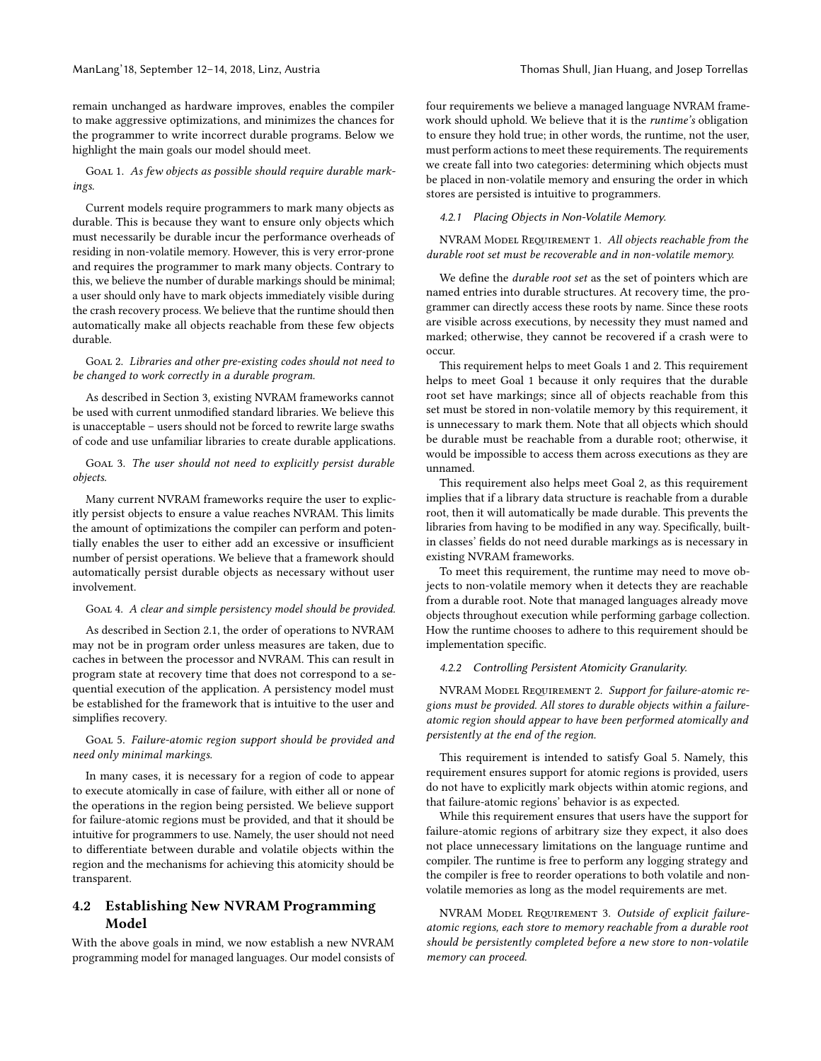remain unchanged as hardware improves, enables the compiler to make aggressive optimizations, and minimizes the chances for the programmer to write incorrect durable programs. Below we highlight the main goals our model should meet.

#### <span id="page-3-0"></span>GOAL 1. As few objects as possible should require durable markings.

Current models require programmers to mark many objects as durable. This is because they want to ensure only objects which must necessarily be durable incur the performance overheads of residing in non-volatile memory. However, this is very error-prone and requires the programmer to mark many objects. Contrary to this, we believe the number of durable markings should be minimal; a user should only have to mark objects immediately visible during the crash recovery process. We believe that the runtime should then automatically make all objects reachable from these few objects durable.

## <span id="page-3-1"></span>GOAL 2. Libraries and other pre-existing codes should not need to be changed to work correctly in a durable program.

As described in Section [3,](#page-2-0) existing NVRAM frameworks cannot be used with current unmodified standard libraries. We believe this is unacceptable – users should not be forced to rewrite large swaths of code and use unfamiliar libraries to create durable applications.

## <span id="page-3-3"></span>GOAL 3. The user should not need to explicitly persist durable objects.

Many current NVRAM frameworks require the user to explicitly persist objects to ensure a value reaches NVRAM. This limits the amount of optimizations the compiler can perform and potentially enables the user to either add an excessive or insufficient number of persist operations. We believe that a framework should automatically persist durable objects as necessary without user involvement.

#### <span id="page-3-4"></span>GOAL 4. A clear and simple persistency model should be provided.

As described in Section [2.1,](#page-1-1) the order of operations to NVRAM may not be in program order unless measures are taken, due to caches in between the processor and NVRAM. This can result in program state at recovery time that does not correspond to a sequential execution of the application. A persistency model must be established for the framework that is intuitive to the user and simplifies recovery.

#### <span id="page-3-2"></span>GOAL 5. Failure-atomic region support should be provided and need only minimal markings.

In many cases, it is necessary for a region of code to appear to execute atomically in case of failure, with either all or none of the operations in the region being persisted. We believe support for failure-atomic regions must be provided, and that it should be intuitive for programmers to use. Namely, the user should not need to differentiate between durable and volatile objects within the region and the mechanisms for achieving this atomicity should be transparent.

# <span id="page-3-7"></span>4.2 Establishing New NVRAM Programming Model

With the above goals in mind, we now establish a new NVRAM programming model for managed languages. Our model consists of four requirements we believe a managed language NVRAM framework should uphold. We believe that it is the runtime's obligation to ensure they hold true; in other words, the runtime, not the user, must perform actions to meet these requirements. The requirements we create fall into two categories: determining which objects must be placed in non-volatile memory and ensuring the order in which stores are persisted is intuitive to programmers.

#### 4.2.1 Placing Objects in Non-Volatile Memory.

<span id="page-3-5"></span>NVRAM MODEL REQUIREMENT 1. All objects reachable from the durable root set must be recoverable and in non-volatile memory.

We define the durable root set as the set of pointers which are named entries into durable structures. At recovery time, the programmer can directly access these roots by name. Since these roots are visible across executions, by necessity they must named and marked; otherwise, they cannot be recovered if a crash were to occur.

This requirement helps to meet Goals [1](#page-3-0) and [2.](#page-3-1) This requirement helps to meet Goal [1](#page-3-0) because it only requires that the durable root set have markings; since all of objects reachable from this set must be stored in non-volatile memory by this requirement, it is unnecessary to mark them. Note that all objects which should be durable must be reachable from a durable root; otherwise, it would be impossible to access them across executions as they are unnamed.

This requirement also helps meet Goal [2,](#page-3-1) as this requirement implies that if a library data structure is reachable from a durable root, then it will automatically be made durable. This prevents the libraries from having to be modified in any way. Specifically, builtin classes' fields do not need durable markings as is necessary in existing NVRAM frameworks.

To meet this requirement, the runtime may need to move objects to non-volatile memory when it detects they are reachable from a durable root. Note that managed languages already move objects throughout execution while performing garbage collection. How the runtime chooses to adhere to this requirement should be implementation specific.

#### 4.2.2 Controlling Persistent Atomicity Granularity.

NVRAM MODEL REQUIREMENT 2. Support for failure-atomic regions must be provided. All stores to durable objects within a failureatomic region should appear to have been performed atomically and persistently at the end of the region.

This requirement is intended to satisfy Goal [5.](#page-3-2) Namely, this requirement ensures support for atomic regions is provided, users do not have to explicitly mark objects within atomic regions, and that failure-atomic regions' behavior is as expected.

While this requirement ensures that users have the support for failure-atomic regions of arbitrary size they expect, it also does not place unnecessary limitations on the language runtime and compiler. The runtime is free to perform any logging strategy and the compiler is free to reorder operations to both volatile and nonvolatile memories as long as the model requirements are met.

<span id="page-3-6"></span>NVRAM MODEL REQUIREMENT 3. Outside of explicit failureatomic regions, each store to memory reachable from a durable root should be persistently completed before a new store to non-volatile memory can proceed.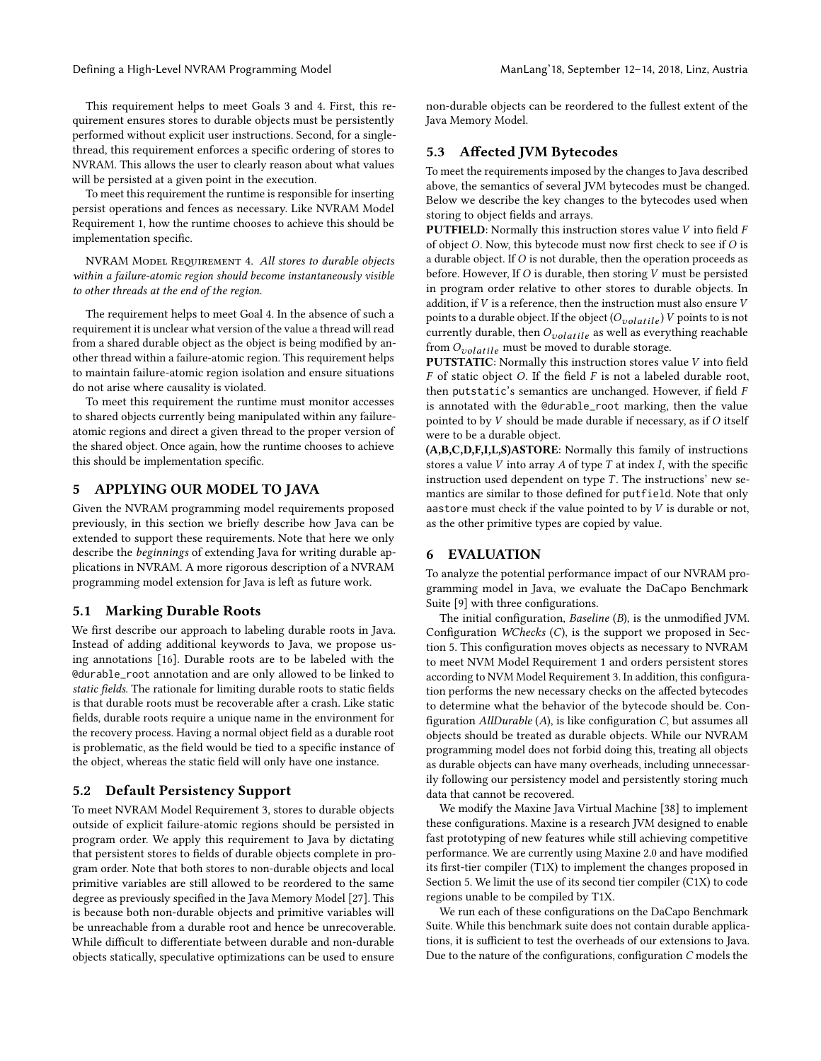This requirement helps to meet Goals [3](#page-3-3) and [4.](#page-3-4) First, this requirement ensures stores to durable objects must be persistently performed without explicit user instructions. Second, for a singlethread, this requirement enforces a specific ordering of stores to NVRAM. This allows the user to clearly reason about what values will be persisted at a given point in the execution.

To meet this requirement the runtime is responsible for inserting persist operations and fences as necessary. Like NVRAM Model Requirement [1,](#page-3-5) how the runtime chooses to achieve this should be implementation specific.

NVRAM MODEL REQUIREMENT 4. All stores to durable objects within a failure-atomic region should become instantaneously visible to other threads at the end of the region.

The requirement helps to meet Goal [4.](#page-3-4) In the absence of such a requirement it is unclear what version of the value a thread will read from a shared durable object as the object is being modified by another thread within a failure-atomic region. This requirement helps to maintain failure-atomic region isolation and ensure situations do not arise where causality is violated.

To meet this requirement the runtime must monitor accesses to shared objects currently being manipulated within any failureatomic regions and direct a given thread to the proper version of the shared object. Once again, how the runtime chooses to achieve this should be implementation specific.

## <span id="page-4-0"></span>5 APPLYING OUR MODEL TO JAVA

Given the NVRAM programming model requirements proposed previously, in this section we briefly describe how Java can be extended to support these requirements. Note that here we only describe the beginnings of extending Java for writing durable applications in NVRAM. A more rigorous description of a NVRAM programming model extension for Java is left as future work.

#### 5.1 Marking Durable Roots

We first describe our approach to labeling durable roots in Java. Instead of adding additional keywords to Java, we propose using annotations [\[16\]](#page-6-22). Durable roots are to be labeled with the @durable\_root annotation and are only allowed to be linked to static fields. The rationale for limiting durable roots to static fields is that durable roots must be recoverable after a crash. Like static fields, durable roots require a unique name in the environment for the recovery process. Having a normal object field as a durable root is problematic, as the field would be tied to a specific instance of the object, whereas the static field will only have one instance.

#### 5.2 Default Persistency Support

To meet NVRAM Model Requirement [3,](#page-3-6) stores to durable objects outside of explicit failure-atomic regions should be persisted in program order. We apply this requirement to Java by dictating that persistent stores to fields of durable objects complete in program order. Note that both stores to non-durable objects and local primitive variables are still allowed to be reordered to the same degree as previously specified in the Java Memory Model [\[27\]](#page-6-24). This is because both non-durable objects and primitive variables will be unreachable from a durable root and hence be unrecoverable. While difficult to differentiate between durable and non-durable objects statically, speculative optimizations can be used to ensure

non-durable objects can be reordered to the fullest extent of the Java Memory Model.

## 5.3 Affected JVM Bytecodes

To meet the requirements imposed by the changes to Java described above, the semantics of several JVM bytecodes must be changed. Below we describe the key changes to the bytecodes used when storing to object fields and arrays.

**PUTFIELD:** Normally this instruction stores value  $V$  into field  $F$ of object O. Now, this bytecode must now first check to see if O is a durable object. If O is not durable, then the operation proceeds as before. However, If O is durable, then storing V must be persisted in program order relative to other stores to durable objects. In addition, if V is a reference, then the instruction must also ensure V points to a durable object. If the object  $(O_{volatile})$  V points to is not currently durable, then  $O_{volatile}$  as well as everything reachable from  $O_{volatile}$  must be moved to durable storage.

PUTSTATIC: Normally this instruction stores value V into field  $F$  of static object  $O$ . If the field  $F$  is not a labeled durable root, then putstatic's semantics are unchanged. However, if field  $F$ is annotated with the @durable\_root marking, then the value pointed to by V should be made durable if necessary, as if O itself were to be a durable object.

(A,B,C,D,F,I,L,S)ASTORE: Normally this family of instructions stores a value  $V$  into array  $A$  of type  $T$  at index  $I$ , with the specific instruction used dependent on type  $T$ . The instructions' new semantics are similar to those defined for putfield. Note that only aastore must check if the value pointed to by  $V$  is durable or not, as the other primitive types are copied by value.

#### 6 EVALUATION

To analyze the potential performance impact of our NVRAM programming model in Java, we evaluate the DaCapo Benchmark Suite [\[9\]](#page-5-11) with three configurations.

The initial configuration, Baseline (B), is the unmodified JVM. Configuration WChecks (C), is the support we proposed in Section [5.](#page-4-0) This configuration moves objects as necessary to NVRAM to meet NVM Model Requirement [1](#page-3-5) and orders persistent stores according to NVM Model Requirement [3.](#page-3-6) In addition, this configuration performs the new necessary checks on the affected bytecodes to determine what the behavior of the bytecode should be. Configuration AllDurable (A), is like configuration C, but assumes all objects should be treated as durable objects. While our NVRAM programming model does not forbid doing this, treating all objects as durable objects can have many overheads, including unnecessarily following our persistency model and persistently storing much data that cannot be recovered.

We modify the Maxine Java Virtual Machine [\[38\]](#page-6-25) to implement these configurations. Maxine is a research JVM designed to enable fast prototyping of new features while still achieving competitive performance. We are currently using Maxine 2.0 and have modified its first-tier compiler (T1X) to implement the changes proposed in Section [5.](#page-4-0) We limit the use of its second tier compiler (C1X) to code regions unable to be compiled by T1X.

We run each of these configurations on the DaCapo Benchmark Suite. While this benchmark suite does not contain durable applications, it is sufficient to test the overheads of our extensions to Java. Due to the nature of the configurations, configuration  $C$  models the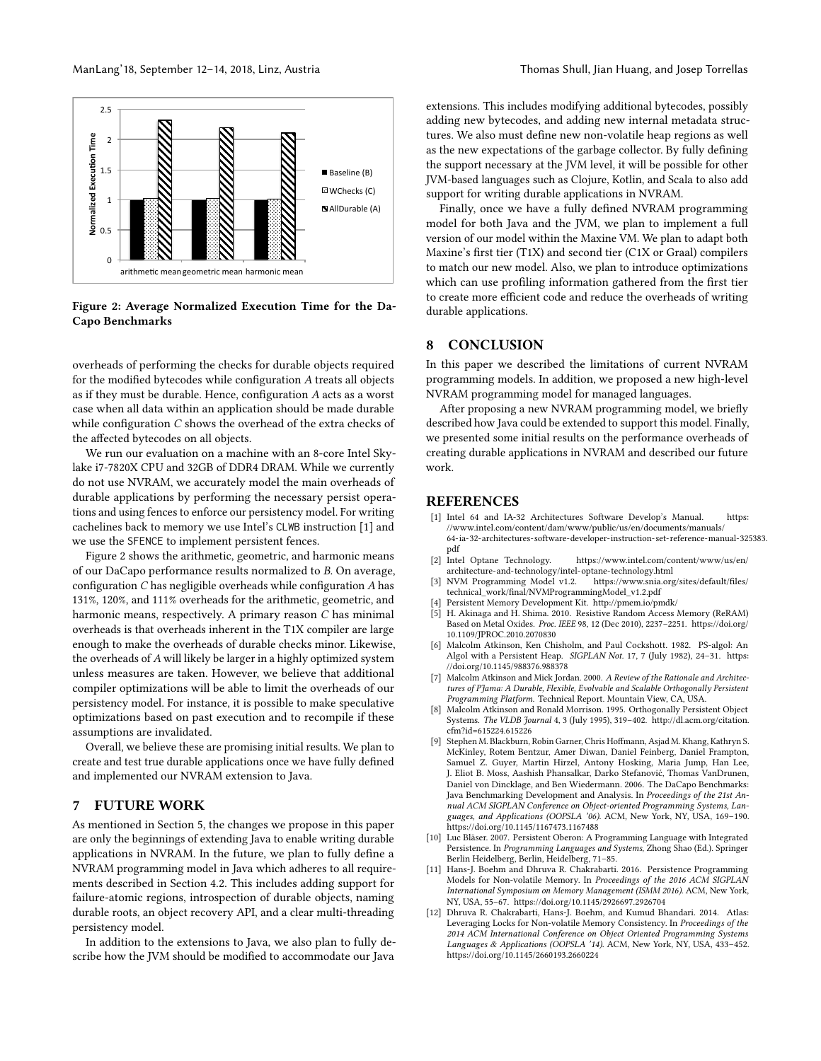<span id="page-5-12"></span>

Figure 2: Average Normalized Execution Time for the Da-Capo Benchmarks

overheads of performing the checks for durable objects required for the modified bytecodes while configuration A treats all objects as if they must be durable. Hence, configuration A acts as a worst case when all data within an application should be made durable while configuration C shows the overhead of the extra checks of the affected bytecodes on all objects.

We run our evaluation on a machine with an 8-core Intel Skylake i7-7820X CPU and 32GB of DDR4 DRAM. While we currently do not use NVRAM, we accurately model the main overheads of durable applications by performing the necessary persist operations and using fences to enforce our persistency model. For writing cachelines back to memory we use Intel's CLWB instruction [\[1\]](#page-5-4) and we use the SFENCE to implement persistent fences.

Figure [2](#page-5-12) shows the arithmetic, geometric, and harmonic means of our DaCapo performance results normalized to B. On average, configuration C has negligible overheads while configuration A has 131%, 120%, and 111% overheads for the arithmetic, geometric, and harmonic means, respectively. A primary reason C has minimal overheads is that overheads inherent in the T1X compiler are large enough to make the overheads of durable checks minor. Likewise, the overheads of A will likely be larger in a highly optimized system unless measures are taken. However, we believe that additional compiler optimizations will be able to limit the overheads of our persistency model. For instance, it is possible to make speculative optimizations based on past execution and to recompile if these assumptions are invalidated.

Overall, we believe these are promising initial results. We plan to create and test true durable applications once we have fully defined and implemented our NVRAM extension to Java.

# 7 FUTURE WORK

As mentioned in Section [5,](#page-4-0) the changes we propose in this paper are only the beginnings of extending Java to enable writing durable applications in NVRAM. In the future, we plan to fully define a NVRAM programming model in Java which adheres to all requirements described in Section [4.2.](#page-3-7) This includes adding support for failure-atomic regions, introspection of durable objects, naming durable roots, an object recovery API, and a clear multi-threading persistency model.

In addition to the extensions to Java, we also plan to fully describe how the JVM should be modified to accommodate our Java

extensions. This includes modifying additional bytecodes, possibly adding new bytecodes, and adding new internal metadata structures. We also must define new non-volatile heap regions as well as the new expectations of the garbage collector. By fully defining the support necessary at the JVM level, it will be possible for other JVM-based languages such as Clojure, Kotlin, and Scala to also add support for writing durable applications in NVRAM.

Finally, once we have a fully defined NVRAM programming model for both Java and the JVM, we plan to implement a full version of our model within the Maxine VM. We plan to adapt both Maxine's first tier (T1X) and second tier (C1X or Graal) compilers to match our new model. Also, we plan to introduce optimizations which can use profiling information gathered from the first tier to create more efficient code and reduce the overheads of writing durable applications.

## 8 CONCLUSION

In this paper we described the limitations of current NVRAM programming models. In addition, we proposed a new high-level NVRAM programming model for managed languages.

After proposing a new NVRAM programming model, we briefly described how Java could be extended to support this model. Finally, we presented some initial results on the performance overheads of creating durable applications in NVRAM and described our future work.

#### REFERENCES

- <span id="page-5-4"></span>[1] Intel 64 and IA-32 Architectures Software Develop's Manual. [https:](https://www.intel.com/content/dam/www/public/us/en/documents/manuals/64-ia-32-architectures-software-developer-instruction-set-reference-manual-325383.pdf) [//www.intel.com/content/dam/www/public/us/en/documents/manuals/](https://www.intel.com/content/dam/www/public/us/en/documents/manuals/64-ia-32-architectures-software-developer-instruction-set-reference-manual-325383.pdf) [64-ia-32-architectures-software-developer-instruction-set-reference-manual-325](https://www.intel.com/content/dam/www/public/us/en/documents/manuals/64-ia-32-architectures-software-developer-instruction-set-reference-manual-325383.pdf)383. [pdf](https://www.intel.com/content/dam/www/public/us/en/documents/manuals/64-ia-32-architectures-software-developer-instruction-set-reference-manual-325383.pdf)
- <span id="page-5-1"></span>[2] Intel Optane Technology. [https://www.intel.com/content/www/us/en/](https://www.intel.com/content/www/us/en/architecture-and-technology/intel-optane-technology.html) [architecture-and-technology/intel-optane-technology.html](https://www.intel.com/content/www/us/en/architecture-and-technology/intel-optane-technology.html)
- <span id="page-5-6"></span>[3] NVM Programming Model v1.2. [https://www.snia.org/sites/default/files/](https://www.snia.org/sites/default/files/technical_work/final/NVMProgrammingModel_v1.2.pdf) [technical\\_work/final/NVMProgrammingModel\\_v1.2.pdf](https://www.snia.org/sites/default/files/technical_work/final/NVMProgrammingModel_v1.2.pdf)
- <span id="page-5-2"></span>[4] Persistent Memory Development Kit.<http://pmem.io/pmdk/>
- <span id="page-5-0"></span>[5] H. Akinaga and H. Shima. 2010. Resistive Random Access Memory (ReRAM) Based on Metal Oxides. Proc. IEEE 98, 12 (Dec 2010), 2237–2251. [https://doi.org/](https://doi.org/10.1109/JPROC.2010.2070830) [10.1109/JPROC.2010.2070830](https://doi.org/10.1109/JPROC.2010.2070830)
- <span id="page-5-7"></span>[6] Malcolm Atkinson, Ken Chisholm, and Paul Cockshott. 1982. PS-algol: An Algol with a Persistent Heap. SIGPLAN Not. 17, 7 (July 1982), 24–31. [https:](https://doi.org/10.1145/988376.988378) [//doi.org/10.1145/988376.988378](https://doi.org/10.1145/988376.988378)
- <span id="page-5-9"></span>[7] Malcolm Atkinson and Mick Jordan. 2000. A Review of the Rationale and Architectures of PJama: A Durable, Flexible, Evolvable and Scalable Orthogonally Persistent Programming Platform. Technical Report. Mountain View, CA, USA.
- <span id="page-5-10"></span>[8] Malcolm Atkinson and Ronald Morrison. 1995. Orthogonally Persistent Object Systems. The VLDB Journal 4, 3 (July 1995), 319–402. [http://dl.acm.org/citation.](http://dl.acm.org/citation.cfm?id=615224.615226) [cfm?id=615224.615226](http://dl.acm.org/citation.cfm?id=615224.615226)
- <span id="page-5-11"></span>[9] Stephen M. Blackburn, Robin Garner, Chris Hoffmann, Asjad M. Khang, Kathryn S. McKinley, Rotem Bentzur, Amer Diwan, Daniel Feinberg, Daniel Frampton, Samuel Z. Guyer, Martin Hirzel, Antony Hosking, Maria Jump, Han Lee, J. Eliot B. Moss, Aashish Phansalkar, Darko Stefanović, Thomas VanDrunen, Daniel von Dincklage, and Ben Wiedermann. 2006. The DaCapo Benchmarks: Java Benchmarking Development and Analysis. In Proceedings of the 21st Annual ACM SIGPLAN Conference on Object-oriented Programming Systems, Languages, and Applications (OOPSLA '06). ACM, New York, NY, USA, 169–190. <https://doi.org/10.1145/1167473.1167488>
- <span id="page-5-8"></span>[10] Luc Bläser. 2007. Persistent Oberon: A Programming Language with Integrated Persistence. In Programming Languages and Systems, Zhong Shao (Ed.). Springer Berlin Heidelberg, Berlin, Heidelberg, 71–85.
- <span id="page-5-5"></span>[11] Hans-J. Boehm and Dhruva R. Chakrabarti. 2016. Persistence Programming Models for Non-volatile Memory. In Proceedings of the 2016 ACM SIGPLAN International Symposium on Memory Management (ISMM 2016). ACM, New York, NY, USA, 55–67.<https://doi.org/10.1145/2926697.2926704>
- <span id="page-5-3"></span>[12] Dhruva R. Chakrabarti, Hans-J. Boehm, and Kumud Bhandari. 2014. Atlas: Leveraging Locks for Non-volatile Memory Consistency. In Proceedings of the 2014 ACM International Conference on Object Oriented Programming Systems Languages & Applications (OOPSLA '14). ACM, New York, NY, USA, 433–452. <https://doi.org/10.1145/2660193.2660224>